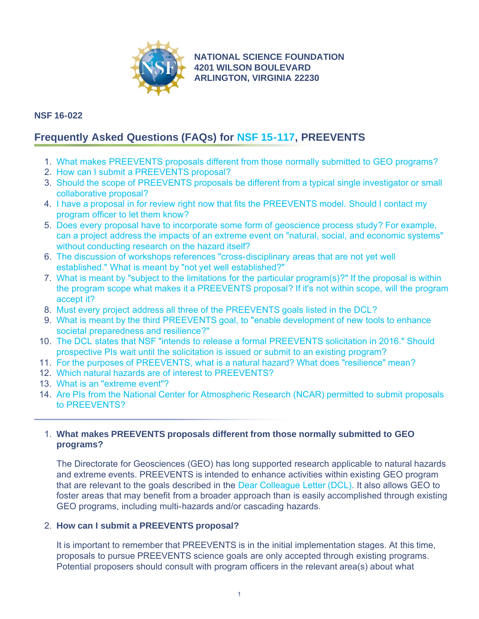

**[NATIONAL SCIENCE FOUNDATION](http://www.nsf.gov) 4201 WILSON BOULEVARD ARLINGTON, VIRGINIA 22230**

# **NSF 16-022**

# **Frequently Asked Questions (FAQs) for [NSF 15-117](http://www.nsf.gov/publications/pub_summ.jsp?ods_key=nsf15117), PREEVENTS**

- 1. [What makes PREEVENTS proposals different from those normally submitted to GEO programs?](#page-0-0)
- 2. [How can I submit a PREEVENTS proposal?](#page-0-1)
- 3. [Should the scope of PREEVENTS proposals be different from a typical single investigator or small](#page-1-0) [collaborative proposal?](#page-1-0)
- 4. [I have a proposal in for review right now that fits the PREEVENTS model. Should I contact my](#page-1-1) [program officer to let them know?](#page-1-1)
- 5. [Does every proposal have to incorporate some form of geoscience process study? For example,](#page-1-2) [can a project address the impacts of an extreme event on "natural, social, and economic systems"](#page-1-2) [without conducting research on the hazard itself?](#page-1-2)
- 6. [The discussion of workshops references "cross-disciplinary areas that are not yet well](#page-1-3) [established." What is meant by "not yet well established?"](#page-1-3)
- 7. [What is meant by "subject to the limitations for the particular program\(s\)?" If the proposal is within](#page-1-4) [the program scope what makes it a PREEVENTS proposal? If it's not within scope, will the program](#page-1-4) [accept it?](#page-1-4)
- 8. [Must every project address all three of the PREEVENTS goals listed in the DCL?](#page-1-5)
- 9. [What is meant by the third PREEVENTS goal, to "enable development of new tools to enhance](#page-1-6) [societal preparedness and resilience?"](#page-1-6)
- 10. [The DCL states that NSF "intends to release a formal PREEVENTS solicitation in 2016." Should](#page-2-0) [prospective PIs wait until the solicitation is issued or submit to an existing program?](#page-2-0)
- 11. [For the purposes of PREEVENTS, what is a natural hazard? What does "resilience" mean?](#page-2-1)
- 12. [Which natural hazards are of interest to PREEVENTS?](#page-2-2)
- 13. [What is an "extreme event"?](#page-3-0)
- 14. [Are PIs from the National Center for Atmospheric Research \(NCAR\) permitted to submit proposals](#page-3-1) [to PREEVENTS?](#page-3-1)

# <span id="page-0-0"></span>1. **What makes PREEVENTS proposals different from those normally submitted to GEO programs?**

The Directorate for Geosciences (GEO) has long supported research applicable to natural hazards and extreme events. PREEVENTS is intended to enhance activities within existing GEO program that are relevant to the goals described in the [Dear Colleague Letter \(DCL\).](http://www.nsf.gov/publications/pub_summ.jsp?ods_key=nsf15117) It also allows GEO to foster areas that may benefit from a broader approach than is easily accomplished through existing GEO programs, including multi-hazards and/or cascading hazards.

# <span id="page-0-1"></span>2. **How can I submit a PREEVENTS proposal?**

It is important to remember that PREEVENTS is in the initial implementation stages. At this time, proposals to pursue PREEVENTS science goals are only accepted through existing programs. Potential proposers should consult with program officers in the relevant area(s) about what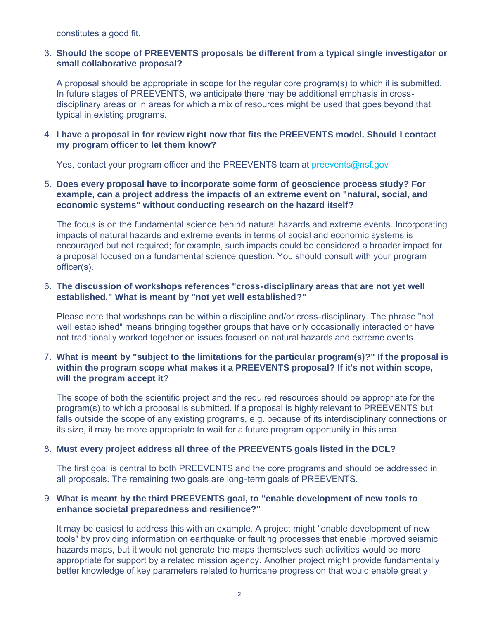constitutes a good fit.

## <span id="page-1-0"></span>3. **Should the scope of PREEVENTS proposals be different from a typical single investigator or small collaborative proposal?**

A proposal should be appropriate in scope for the regular core program(s) to which it is submitted. In future stages of PREEVENTS, we anticipate there may be additional emphasis in crossdisciplinary areas or in areas for which a mix of resources might be used that goes beyond that typical in existing programs.

## <span id="page-1-1"></span>4. **I have a proposal in for review right now that fits the PREEVENTS model. Should I contact my program officer to let them know?**

Yes, contact your program officer and the PREEVENTS team at [preevents@nsf.gov](mailto:preevents@nsf.gov)

#### <span id="page-1-2"></span>5. **Does every proposal have to incorporate some form of geoscience process study? For example, can a project address the impacts of an extreme event on "natural, social, and economic systems" without conducting research on the hazard itself?**

The focus is on the fundamental science behind natural hazards and extreme events. Incorporating impacts of natural hazards and extreme events in terms of social and economic systems is encouraged but not required; for example, such impacts could be considered a broader impact for a proposal focused on a fundamental science question. You should consult with your program officer(s).

#### <span id="page-1-3"></span>6. **The discussion of workshops references "cross-disciplinary areas that are not yet well established." What is meant by "not yet well established?"**

Please note that workshops can be within a discipline and/or cross-disciplinary. The phrase "not well established" means bringing together groups that have only occasionally interacted or have not traditionally worked together on issues focused on natural hazards and extreme events.

## <span id="page-1-4"></span>7. **What is meant by "subject to the limitations for the particular program(s)?" If the proposal is within the program scope what makes it a PREEVENTS proposal? If it's not within scope, will the program accept it?**

The scope of both the scientific project and the required resources should be appropriate for the program(s) to which a proposal is submitted. If a proposal is highly relevant to PREEVENTS but falls outside the scope of any existing programs, e.g. because of its interdisciplinary connections or its size, it may be more appropriate to wait for a future program opportunity in this area.

#### <span id="page-1-5"></span>8. **Must every project address all three of the PREEVENTS goals listed in the DCL?**

The first goal is central to both PREEVENTS and the core programs and should be addressed in all proposals. The remaining two goals are long-term goals of PREEVENTS.

## <span id="page-1-6"></span>9. **What is meant by the third PREEVENTS goal, to "enable development of new tools to enhance societal preparedness and resilience?"**

It may be easiest to address this with an example. A project might "enable development of new tools" by providing information on earthquake or faulting processes that enable improved seismic hazards maps, but it would not generate the maps themselves such activities would be more appropriate for support by a related mission agency. Another project might provide fundamentally better knowledge of key parameters related to hurricane progression that would enable greatly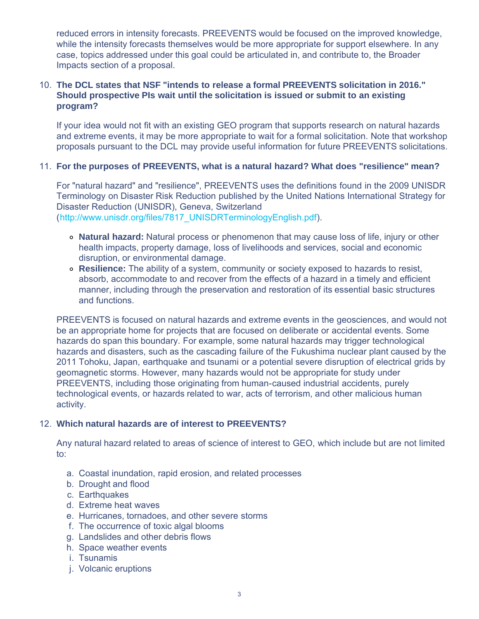reduced errors in intensity forecasts. PREEVENTS would be focused on the improved knowledge, while the intensity forecasts themselves would be more appropriate for support elsewhere. In any case, topics addressed under this goal could be articulated in, and contribute to, the Broader Impacts section of a proposal.

## <span id="page-2-0"></span>10. **The DCL states that NSF "intends to release a formal PREEVENTS solicitation in 2016." Should prospective PIs wait until the solicitation is issued or submit to an existing program?**

If your idea would not fit with an existing GEO program that supports research on natural hazards and extreme events, it may be more appropriate to wait for a formal solicitation. Note that workshop proposals pursuant to the DCL may provide useful information for future PREEVENTS solicitations.

## <span id="page-2-1"></span>11. **For the purposes of PREEVENTS, what is a natural hazard? What does "resilience" mean?**

For "natural hazard" and "resilience", PREEVENTS uses the definitions found in the 2009 UNISDR Terminology on Disaster Risk Reduction published by the United Nations International Strategy for Disaster Reduction (UNISDR), Geneva, Switzerland ([http://www.unisdr.org/files/7817\\_UNISDRTerminologyEnglish.pdf](http://www.nsf.gov/cgi-bin/goodbye?http://www.unisdr.org/files/7817_UNISDRTerminologyEnglish.pdf)).

- **Natural hazard:** Natural process or phenomenon that may cause loss of life, injury or other health impacts, property damage, loss of livelihoods and services, social and economic disruption, or environmental damage.
- **Resilience:** The ability of a system, community or society exposed to hazards to resist, absorb, accommodate to and recover from the effects of a hazard in a timely and efficient manner, including through the preservation and restoration of its essential basic structures and functions.

PREEVENTS is focused on natural hazards and extreme events in the geosciences, and would not be an appropriate home for projects that are focused on deliberate or accidental events. Some hazards do span this boundary. For example, some natural hazards may trigger technological hazards and disasters, such as the cascading failure of the Fukushima nuclear plant caused by the 2011 Tohoku, Japan, earthquake and tsunami or a potential severe disruption of electrical grids by geomagnetic storms. However, many hazards would not be appropriate for study under PREEVENTS, including those originating from human-caused industrial accidents, purely technological events, or hazards related to war, acts of terrorism, and other malicious human activity.

# <span id="page-2-2"></span>12. **Which natural hazards are of interest to PREEVENTS?**

Any natural hazard related to areas of science of interest to GEO, which include but are not limited to:

- a. Coastal inundation, rapid erosion, and related processes
- b. Drought and flood
- c. Earthquakes
- d. Extreme heat waves
- e. Hurricanes, tornadoes, and other severe storms
- f. The occurrence of toxic algal blooms
- g. Landslides and other debris flows
- h. Space weather events
- i. Tsunamis
- j. Volcanic eruptions